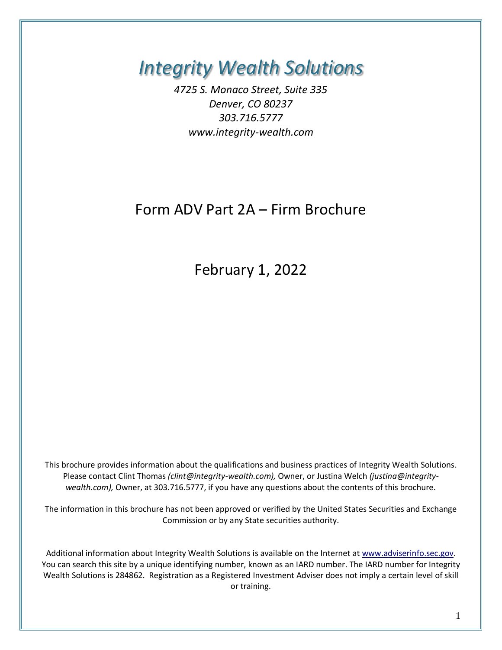*Integrity Wealth Solutions*

*4725 S. Monaco Street, Suite 335 Denver, CO 80237 303.716.5777 www.integrity-wealth.com*

# Form ADV Part 2A – Firm Brochure

February 1, 2022

This brochure provides information about the qualifications and business practices of Integrity Wealth Solutions. Please contact Clint Thomas *(clint@integrity-wealth.com),* Owner, or Justina Welch *(justina@integritywealth.com),* Owner, at 303.716.5777, if you have any questions about the contents of this brochure.

The information in this brochure has not been approved or verified by the United States Securities and Exchange Commission or by any State securities authority.

Additional information about Integrity Wealth Solutions is available on the Internet a[t www.adviserinfo.sec.gov.](http://www.adviserinfo.sec.gov./) You can search this site by a unique identifying number, known as an IARD number. The IARD number for Integrity Wealth Solutions is 284862. Registration as a Registered Investment Adviser does not imply a certain level of skill or training.

1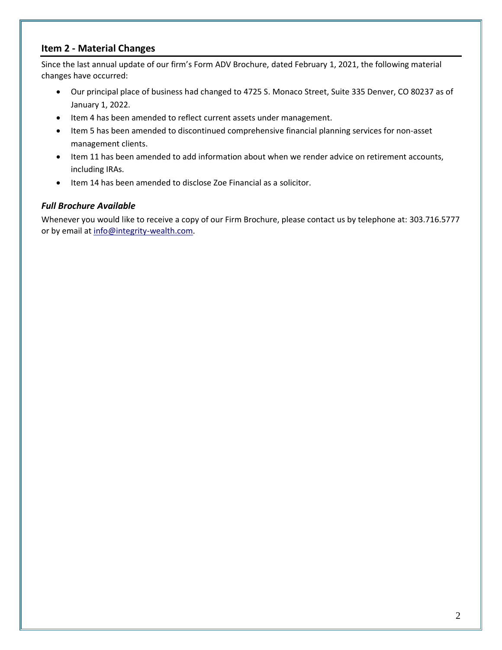### **Item 2 - Material Changes**

Since the last annual update of our firm's Form ADV Brochure, dated February 1, 2021, the following material changes have occurred:

- Our principal place of business had changed to 4725 S. Monaco Street, Suite 335 Denver, CO 80237 as of January 1, 2022.
- Item 4 has been amended to reflect current assets under management.
- Item 5 has been amended to discontinued comprehensive financial planning services for non-asset management clients.
- Item 11 has been amended to add information about when we render advice on retirement accounts, including IRAs.
- Item 14 has been amended to disclose Zoe Financial as a solicitor.

### *Full Brochure Available*

Whenever you would like to receive a copy of our Firm Brochure, please contact us by telephone at: 303.716.5777 or by email at [info@integrity-wealth.com](mailto:info@integrity-wealth.com).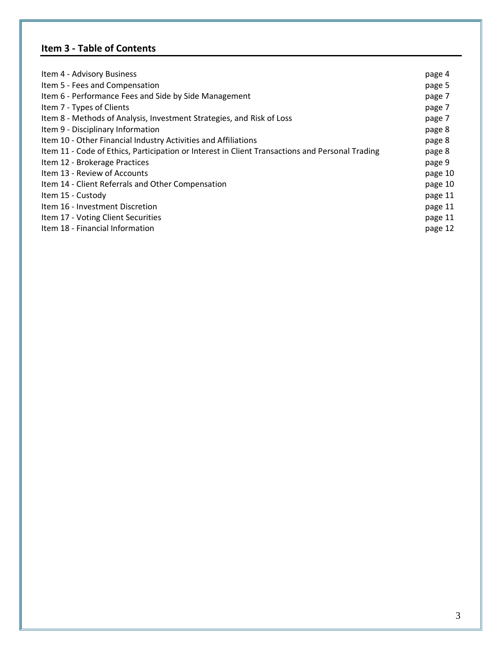# **Item 3 - Table of Contents**

| Item 4 - Advisory Business                                                                      | page 4  |
|-------------------------------------------------------------------------------------------------|---------|
| Item 5 - Fees and Compensation                                                                  | page 5  |
| Item 6 - Performance Fees and Side by Side Management                                           | page 7  |
| Item 7 - Types of Clients                                                                       | page 7  |
| Item 8 - Methods of Analysis, Investment Strategies, and Risk of Loss                           | page 7  |
| Item 9 - Disciplinary Information                                                               | page 8  |
| Item 10 - Other Financial Industry Activities and Affiliations                                  | page 8  |
| Item 11 - Code of Ethics, Participation or Interest in Client Transactions and Personal Trading | page 8  |
| Item 12 - Brokerage Practices                                                                   | page 9  |
| Item 13 - Review of Accounts                                                                    | page 10 |
| Item 14 - Client Referrals and Other Compensation                                               | page 10 |
| Item 15 - Custody                                                                               | page 11 |
| Item 16 - Investment Discretion                                                                 | page 11 |
| Item 17 - Voting Client Securities                                                              | page 11 |
| Item 18 - Financial Information                                                                 | page 12 |
|                                                                                                 |         |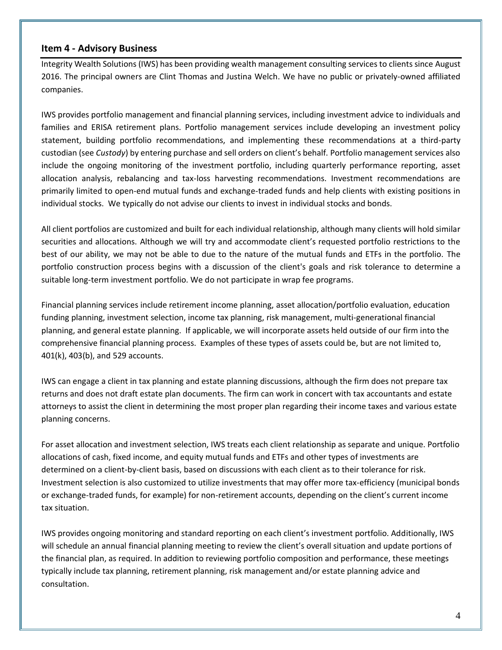### **Item 4 - Advisory Business**

Integrity Wealth Solutions (IWS) has been providing wealth management consulting services to clients since August 2016. The principal owners are Clint Thomas and Justina Welch. We have no public or privately-owned affiliated companies.

IWS provides portfolio management and financial planning services, including investment advice to individuals and families and ERISA retirement plans. Portfolio management services include developing an investment policy statement, building portfolio recommendations, and implementing these recommendations at a third-party custodian (see *Custody*) by entering purchase and sell orders on client's behalf. Portfolio management services also include the ongoing monitoring of the investment portfolio, including quarterly performance reporting, asset allocation analysis, rebalancing and tax-loss harvesting recommendations. Investment recommendations are primarily limited to open-end mutual funds and exchange-traded funds and help clients with existing positions in individual stocks. We typically do not advise our clients to invest in individual stocks and bonds.

All client portfolios are customized and built for each individual relationship, although many clients will hold similar securities and allocations. Although we will try and accommodate client's requested portfolio restrictions to the best of our ability, we may not be able to due to the nature of the mutual funds and ETFs in the portfolio. The portfolio construction process begins with a discussion of the client's goals and risk tolerance to determine a suitable long-term investment portfolio. We do not participate in wrap fee programs.

Financial planning services include retirement income planning, asset allocation/portfolio evaluation, education funding planning, investment selection, income tax planning, risk management, multi-generational financial planning, and general estate planning. If applicable, we will incorporate assets held outside of our firm into the comprehensive financial planning process. Examples of these types of assets could be, but are not limited to, 401(k), 403(b), and 529 accounts.

IWS can engage a client in tax planning and estate planning discussions, although the firm does not prepare tax returns and does not draft estate plan documents. The firm can work in concert with tax accountants and estate attorneys to assist the client in determining the most proper plan regarding their income taxes and various estate planning concerns.

For asset allocation and investment selection, IWS treats each client relationship as separate and unique. Portfolio allocations of cash, fixed income, and equity mutual funds and ETFs and other types of investments are determined on a client-by-client basis, based on discussions with each client as to their tolerance for risk. Investment selection is also customized to utilize investments that may offer more tax-efficiency (municipal bonds or exchange-traded funds, for example) for non-retirement accounts, depending on the client's current income tax situation.

IWS provides ongoing monitoring and standard reporting on each client's investment portfolio. Additionally, IWS will schedule an annual financial planning meeting to review the client's overall situation and update portions of the financial plan, as required. In addition to reviewing portfolio composition and performance, these meetings typically include tax planning, retirement planning, risk management and/or estate planning advice and consultation.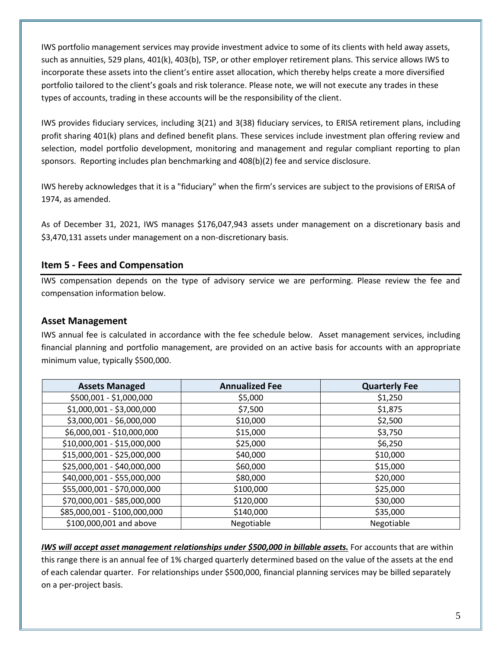IWS portfolio management services may provide investment advice to some of its clients with held away assets, such as annuities, 529 plans, 401(k), 403(b), TSP, or other employer retirement plans. This service allows IWS to incorporate these assets into the client's entire asset allocation, which thereby helps create a more diversified portfolio tailored to the client's goals and risk tolerance. Please note, we will not execute any trades in these types of accounts, trading in these accounts will be the responsibility of the client.

IWS provides fiduciary services, including 3(21) and 3(38) fiduciary services, to ERISA retirement plans, including profit sharing 401(k) plans and defined benefit plans. These services include investment plan offering review and selection, model portfolio development, monitoring and management and regular compliant reporting to plan sponsors. Reporting includes plan benchmarking and 408(b)(2) fee and service disclosure.

IWS hereby acknowledges that it is a "fiduciary" when the firm's services are subject to the provisions of ERISA of 1974, as amended.

As of December 31, 2021, IWS manages \$176,047,943 assets under management on a discretionary basis and \$3,470,131 assets under management on a non-discretionary basis.

# **Item 5 - Fees and Compensation**

IWS compensation depends on the type of advisory service we are performing. Please review the fee and compensation information below.

# **Asset Management**

IWS annual fee is calculated in accordance with the fee schedule below. Asset management services, including financial planning and portfolio management, are provided on an active basis for accounts with an appropriate minimum value, typically \$500,000.

| <b>Assets Managed</b>        | <b>Annualized Fee</b> | <b>Quarterly Fee</b> |
|------------------------------|-----------------------|----------------------|
| \$500,001 - \$1,000,000      | \$5,000               | \$1,250              |
| \$1,000,001 - \$3,000,000    | \$7,500               | \$1,875              |
| \$3,000,001 - \$6,000,000    | \$10,000              | \$2,500              |
| \$6,000,001 - \$10,000,000   | \$15,000              | \$3,750              |
| \$10,000,001 - \$15,000,000  | \$25,000              | \$6,250              |
| \$15,000,001 - \$25,000,000  | \$40,000              | \$10,000             |
| \$25,000,001 - \$40,000,000  | \$60,000              | \$15,000             |
| \$40,000,001 - \$55,000,000  | \$80,000              | \$20,000             |
| \$55,000,001 - \$70,000,000  | \$100,000             | \$25,000             |
| \$70,000,001 - \$85,000,000  | \$120,000             | \$30,000             |
| \$85,000,001 - \$100,000,000 | \$140,000             | \$35,000             |
| \$100,000,001 and above      | Negotiable            | Negotiable           |

*IWS will accept asset management relationships under \$500,000 in billable assets.* For accounts that are within this range there is an annual fee of 1% charged quarterly determined based on the value of the assets at the end of each calendar quarter. For relationships under \$500,000, financial planning services may be billed separately on a per-project basis.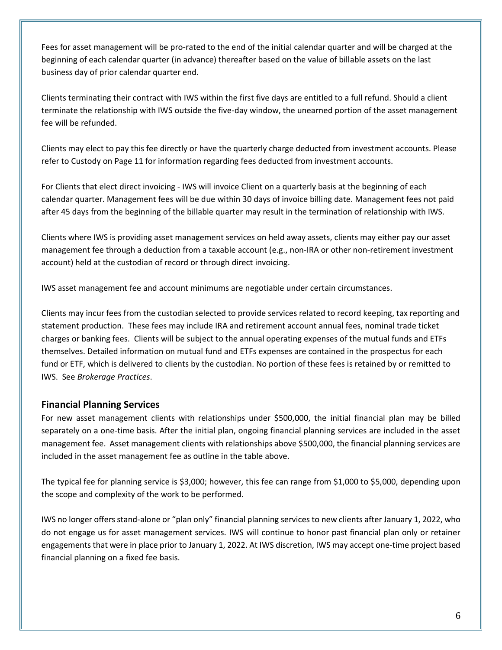Fees for asset management will be pro-rated to the end of the initial calendar quarter and will be charged at the beginning of each calendar quarter (in advance) thereafter based on the value of billable assets on the last business day of prior calendar quarter end.

Clients terminating their contract with IWS within the first five days are entitled to a full refund. Should a client terminate the relationship with IWS outside the five-day window, the unearned portion of the asset management fee will be refunded.

Clients may elect to pay this fee directly or have the quarterly charge deducted from investment accounts. Please refer to Custody on Page 11 for information regarding fees deducted from investment accounts.

For Clients that elect direct invoicing - IWS will invoice Client on a quarterly basis at the beginning of each calendar quarter. Management fees will be due within 30 days of invoice billing date. Management fees not paid after 45 days from the beginning of the billable quarter may result in the termination of relationship with IWS.

Clients where IWS is providing asset management services on held away assets, clients may either pay our asset management fee through a deduction from a taxable account (e.g., non-IRA or other non-retirement investment account) held at the custodian of record or through direct invoicing.

IWS asset management fee and account minimums are negotiable under certain circumstances.

Clients may incur fees from the custodian selected to provide services related to record keeping, tax reporting and statement production. These fees may include IRA and retirement account annual fees, nominal trade ticket charges or banking fees. Clients will be subject to the annual operating expenses of the mutual funds and ETFs themselves. Detailed information on mutual fund and ETFs expenses are contained in the prospectus for each fund or ETF, which is delivered to clients by the custodian. No portion of these fees is retained by or remitted to IWS. See *Brokerage Practices*.

# **Financial Planning Services**

For new asset management clients with relationships under \$500,000, the initial financial plan may be billed separately on a one-time basis. After the initial plan, ongoing financial planning services are included in the asset management fee. Asset management clients with relationships above \$500,000, the financial planning services are included in the asset management fee as outline in the table above.

The typical fee for planning service is \$3,000; however, this fee can range from \$1,000 to \$5,000, depending upon the scope and complexity of the work to be performed.

IWS no longer offers stand-alone or "plan only" financial planning services to new clients after January 1, 2022, who do not engage us for asset management services. IWS will continue to honor past financial plan only or retainer engagements that were in place prior to January 1, 2022. At IWS discretion, IWS may accept one-time project based financial planning on a fixed fee basis.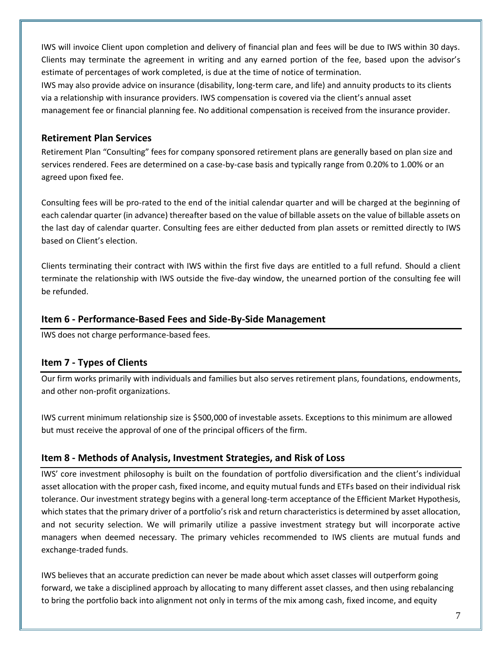IWS will invoice Client upon completion and delivery of financial plan and fees will be due to IWS within 30 days. Clients may terminate the agreement in writing and any earned portion of the fee, based upon the advisor's estimate of percentages of work completed, is due at the time of notice of termination.

IWS may also provide advice on insurance (disability, long-term care, and life) and annuity products to its clients via a relationship with insurance providers. IWS compensation is covered via the client's annual asset management fee or financial planning fee. No additional compensation is received from the insurance provider.

# **Retirement Plan Services**

Retirement Plan "Consulting" fees for company sponsored retirement plans are generally based on plan size and services rendered. Fees are determined on a case-by-case basis and typically range from 0.20% to 1.00% or an agreed upon fixed fee.

Consulting fees will be pro-rated to the end of the initial calendar quarter and will be charged at the beginning of each calendar quarter (in advance) thereafter based on the value of billable assets on the value of billable assets on the last day of calendar quarter. Consulting fees are either deducted from plan assets or remitted directly to IWS based on Client's election.

Clients terminating their contract with IWS within the first five days are entitled to a full refund. Should a client terminate the relationship with IWS outside the five-day window, the unearned portion of the consulting fee will be refunded.

# **Item 6 - Performance-Based Fees and Side-By-Side Management**

IWS does not charge performance-based fees.

# **Item 7 - Types of Clients**

Our firm works primarily with individuals and families but also serves retirement plans, foundations, endowments, and other non-profit organizations.

IWS current minimum relationship size is \$500,000 of investable assets. Exceptions to this minimum are allowed but must receive the approval of one of the principal officers of the firm.

# **Item 8 - Methods of Analysis, Investment Strategies, and Risk of Loss**

IWS' core investment philosophy is built on the foundation of portfolio diversification and the client's individual asset allocation with the proper cash, fixed income, and equity mutual funds and ETFs based on their individual risk tolerance. Our investment strategy begins with a general long-term acceptance of the Efficient Market Hypothesis, which states that the primary driver of a portfolio's risk and return characteristics is determined by asset allocation, and not security selection. We will primarily utilize a passive investment strategy but will incorporate active managers when deemed necessary. The primary vehicles recommended to IWS clients are mutual funds and exchange-traded funds.

IWS believes that an accurate prediction can never be made about which asset classes will outperform going forward, we take a disciplined approach by allocating to many different asset classes, and then using rebalancing to bring the portfolio back into alignment not only in terms of the mix among cash, fixed income, and equity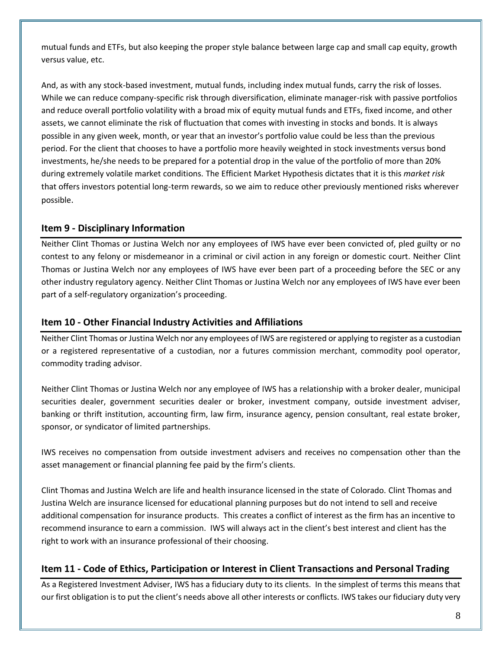mutual funds and ETFs, but also keeping the proper style balance between large cap and small cap equity, growth versus value, etc.

And, as with any stock-based investment, mutual funds, including index mutual funds, carry the risk of losses. While we can reduce company-specific risk through diversification, eliminate manager-risk with passive portfolios and reduce overall portfolio volatility with a broad mix of equity mutual funds and ETFs, fixed income, and other assets, we cannot eliminate the risk of fluctuation that comes with investing in stocks and bonds. It is always possible in any given week, month, or year that an investor's portfolio value could be less than the previous period. For the client that chooses to have a portfolio more heavily weighted in stock investments versus bond investments, he/she needs to be prepared for a potential drop in the value of the portfolio of more than 20% during extremely volatile market conditions. The Efficient Market Hypothesis dictates that it is this *market risk* that offers investors potential long-term rewards, so we aim to reduce other previously mentioned risks wherever possible.

# **Item 9 - Disciplinary Information**

Neither Clint Thomas or Justina Welch nor any employees of IWS have ever been convicted of, pled guilty or no contest to any felony or misdemeanor in a criminal or civil action in any foreign or domestic court. Neither Clint Thomas or Justina Welch nor any employees of IWS have ever been part of a proceeding before the SEC or any other industry regulatory agency. Neither Clint Thomas or Justina Welch nor any employees of IWS have ever been part of a self-regulatory organization's proceeding.

# **Item 10 - Other Financial Industry Activities and Affiliations**

Neither Clint Thomas or Justina Welch nor any employees of IWS are registered or applying to register as a custodian or a registered representative of a custodian, nor a futures commission merchant, commodity pool operator, commodity trading advisor.

Neither Clint Thomas or Justina Welch nor any employee of IWS has a relationship with a broker dealer, municipal securities dealer, government securities dealer or broker, investment company, outside investment adviser, banking or thrift institution, accounting firm, law firm, insurance agency, pension consultant, real estate broker, sponsor, or syndicator of limited partnerships.

IWS receives no compensation from outside investment advisers and receives no compensation other than the asset management or financial planning fee paid by the firm's clients.

Clint Thomas and Justina Welch are life and health insurance licensed in the state of Colorado. Clint Thomas and Justina Welch are insurance licensed for educational planning purposes but do not intend to sell and receive additional compensation for insurance products. This creates a conflict of interest as the firm has an incentive to recommend insurance to earn a commission. IWS will always act in the client's best interest and client has the right to work with an insurance professional of their choosing.

# **Item 11 - Code of Ethics, Participation or Interest in Client Transactions and Personal Trading**

As a Registered Investment Adviser, IWS has a fiduciary duty to its clients. In the simplest of terms this means that our first obligation is to put the client's needs above all other interests or conflicts. IWS takes our fiduciary duty very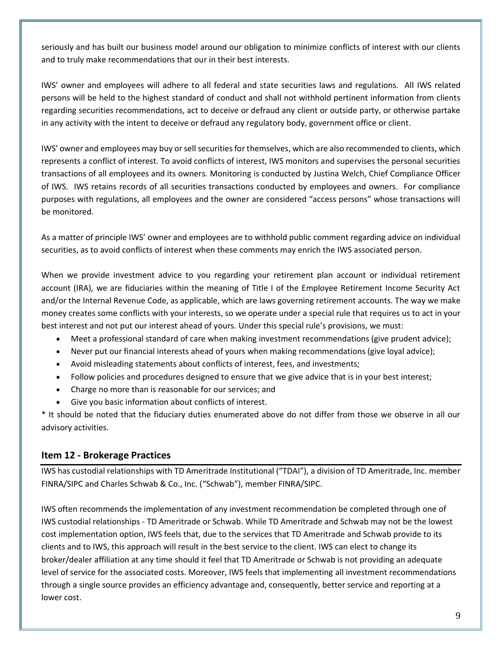seriously and has built our business model around our obligation to minimize conflicts of interest with our clients and to truly make recommendations that our in their best interests.

IWS' owner and employees will adhere to all federal and state securities laws and regulations. All IWS related persons will be held to the highest standard of conduct and shall not withhold pertinent information from clients regarding securities recommendations, act to deceive or defraud any client or outside party, or otherwise partake in any activity with the intent to deceive or defraud any regulatory body, government office or client.

IWS' owner and employees may buy or sell securities for themselves, which are also recommended to clients, which represents a conflict of interest. To avoid conflicts of interest, IWS monitors and supervises the personal securities transactions of all employees and its owners. Monitoring is conducted by Justina Welch, Chief Compliance Officer of IWS. IWS retains records of all securities transactions conducted by employees and owners. For compliance purposes with regulations, all employees and the owner are considered "access persons" whose transactions will be monitored.

As a matter of principle IWS' owner and employees are to withhold public comment regarding advice on individual securities, as to avoid conflicts of interest when these comments may enrich the IWS associated person.

When we provide investment advice to you regarding your retirement plan account or individual retirement account (IRA), we are fiduciaries within the meaning of Title I of the Employee Retirement Income Security Act and/or the Internal Revenue Code, as applicable, which are laws governing retirement accounts. The way we make money creates some conflicts with your interests, so we operate under a special rule that requires us to act in your best interest and not put our interest ahead of yours. Under this special rule's provisions, we must:

- Meet a professional standard of care when making investment recommendations (give prudent advice);
- Never put our financial interests ahead of yours when making recommendations (give loyal advice);
- Avoid misleading statements about conflicts of interest, fees, and investments;
- Follow policies and procedures designed to ensure that we give advice that is in your best interest;
- Charge no more than is reasonable for our services; and
- Give you basic information about conflicts of interest.

\* It should be noted that the fiduciary duties enumerated above do not differ from those we observe in all our advisory activities.

# **Item 12 - Brokerage Practices**

IWS has custodial relationships with TD Ameritrade Institutional ("TDAI"), a division of TD Ameritrade, Inc. member FINRA/SIPC and Charles Schwab & Co., Inc. ("Schwab"), member FINRA/SIPC.

IWS often recommends the implementation of any investment recommendation be completed through one of IWS custodial relationships - TD Ameritrade or Schwab. While TD Ameritrade and Schwab may not be the lowest cost implementation option, IWS feels that, due to the services that TD Ameritrade and Schwab provide to its clients and to IWS, this approach will result in the best service to the client. IWS can elect to change its broker/dealer affiliation at any time should it feel that TD Ameritrade or Schwab is not providing an adequate level of service for the associated costs. Moreover, IWS feels that implementing all investment recommendations through a single source provides an efficiency advantage and, consequently, better service and reporting at a lower cost.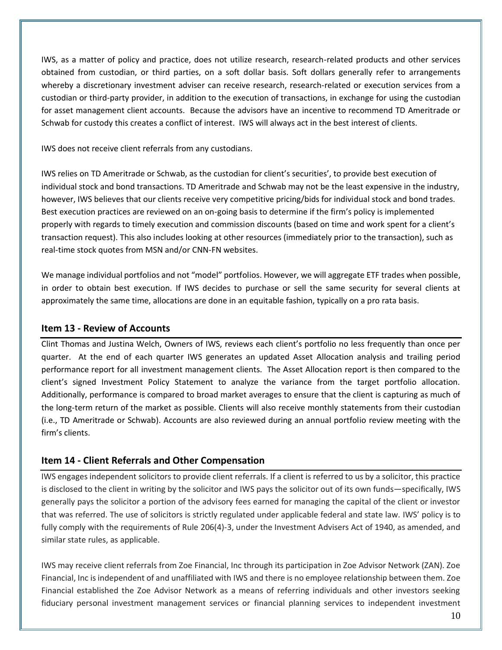IWS, as a matter of policy and practice, does not utilize research, research-related products and other services obtained from custodian, or third parties, on a soft dollar basis. Soft dollars generally refer to arrangements whereby a discretionary investment adviser can receive research, research-related or execution services from a custodian or third-party provider, in addition to the execution of transactions, in exchange for using the custodian for asset management client accounts. Because the advisors have an incentive to recommend TD Ameritrade or Schwab for custody this creates a conflict of interest. IWS will always act in the best interest of clients.

IWS does not receive client referrals from any custodians.

IWS relies on TD Ameritrade or Schwab, as the custodian for client's securities', to provide best execution of individual stock and bond transactions. TD Ameritrade and Schwab may not be the least expensive in the industry, however, IWS believes that our clients receive very competitive pricing/bids for individual stock and bond trades. Best execution practices are reviewed on an on-going basis to determine if the firm's policy is implemented properly with regards to timely execution and commission discounts (based on time and work spent for a client's transaction request). This also includes looking at other resources (immediately prior to the transaction), such as real-time stock quotes from MSN and/or CNN-FN websites.

We manage individual portfolios and not "model" portfolios. However, we will aggregate ETF trades when possible, in order to obtain best execution. If IWS decides to purchase or sell the same security for several clients at approximately the same time, allocations are done in an equitable fashion, typically on a pro rata basis.

# **Item 13 - Review of Accounts**

Clint Thomas and Justina Welch, Owners of IWS, reviews each client's portfolio no less frequently than once per quarter. At the end of each quarter IWS generates an updated Asset Allocation analysis and trailing period performance report for all investment management clients. The Asset Allocation report is then compared to the client's signed Investment Policy Statement to analyze the variance from the target portfolio allocation. Additionally, performance is compared to broad market averages to ensure that the client is capturing as much of the long-term return of the market as possible. Clients will also receive monthly statements from their custodian (i.e., TD Ameritrade or Schwab). Accounts are also reviewed during an annual portfolio review meeting with the firm's clients.

# **Item 14 - Client Referrals and Other Compensation**

IWS engages independent solicitors to provide client referrals. If a client is referred to us by a solicitor, this practice is disclosed to the client in writing by the solicitor and IWS pays the solicitor out of its own funds—specifically, IWS generally pays the solicitor a portion of the advisory fees earned for managing the capital of the client or investor that was referred. The use of solicitors is strictly regulated under applicable federal and state law. IWS' policy is to fully comply with the requirements of Rule 206(4)-3, under the Investment Advisers Act of 1940, as amended, and similar state rules, as applicable.

IWS may receive client referrals from Zoe Financial, Inc through its participation in Zoe Advisor Network (ZAN). Zoe Financial, Inc is independent of and unaffiliated with IWS and there is no employee relationship between them. Zoe Financial established the Zoe Advisor Network as a means of referring individuals and other investors seeking fiduciary personal investment management services or financial planning services to independent investment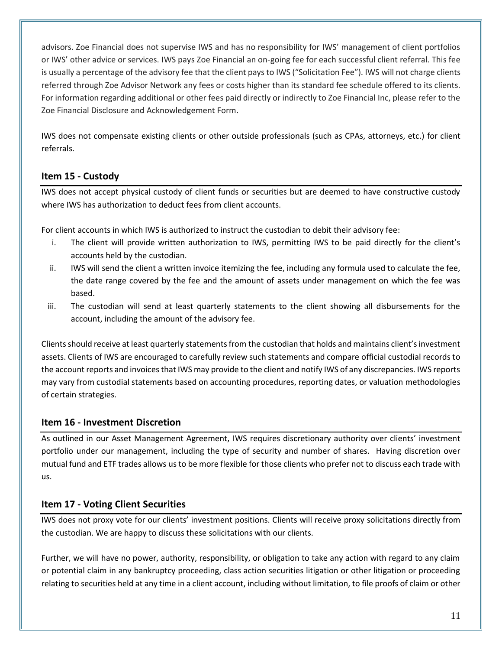advisors. Zoe Financial does not supervise IWS and has no responsibility for IWS' management of client portfolios or IWS' other advice or services. IWS pays Zoe Financial an on-going fee for each successful client referral. This fee is usually a percentage of the advisory fee that the client pays to IWS ("Solicitation Fee"). IWS will not charge clients referred through Zoe Advisor Network any fees or costs higher than its standard fee schedule offered to its clients. For information regarding additional or other fees paid directly or indirectly to Zoe Financial Inc, please refer to the Zoe Financial Disclosure and Acknowledgement Form.

IWS does not compensate existing clients or other outside professionals (such as CPAs, attorneys, etc.) for client referrals.

# **Item 15 - Custody**

IWS does not accept physical custody of client funds or securities but are deemed to have constructive custody where IWS has authorization to deduct fees from client accounts.

For client accounts in which IWS is authorized to instruct the custodian to debit their advisory fee:

- i. The client will provide written authorization to IWS, permitting IWS to be paid directly for the client's accounts held by the custodian.
- ii. IWS will send the client a written invoice itemizing the fee, including any formula used to calculate the fee, the date range covered by the fee and the amount of assets under management on which the fee was based.
- iii. The custodian will send at least quarterly statements to the client showing all disbursements for the account, including the amount of the advisory fee.

Clients should receive at least quarterly statements from the custodian that holds and maintains client's investment assets. Clients of IWS are encouraged to carefully review such statements and compare official custodial records to the account reports and invoices that IWS may provide to the client and notify IWS of any discrepancies. IWS reports may vary from custodial statements based on accounting procedures, reporting dates, or valuation methodologies of certain strategies.

# **Item 16 - Investment Discretion**

As outlined in our Asset Management Agreement, IWS requires discretionary authority over clients' investment portfolio under our management, including the type of security and number of shares. Having discretion over mutual fund and ETF trades allows us to be more flexible for those clients who prefer not to discuss each trade with us.

# **Item 17 - Voting Client Securities**

IWS does not proxy vote for our clients' investment positions. Clients will receive proxy solicitations directly from the custodian. We are happy to discuss these solicitations with our clients.

Further, we will have no power, authority, responsibility, or obligation to take any action with regard to any claim or potential claim in any bankruptcy proceeding, class action securities litigation or other litigation or proceeding relating to securities held at any time in a client account, including without limitation, to file proofs of claim or other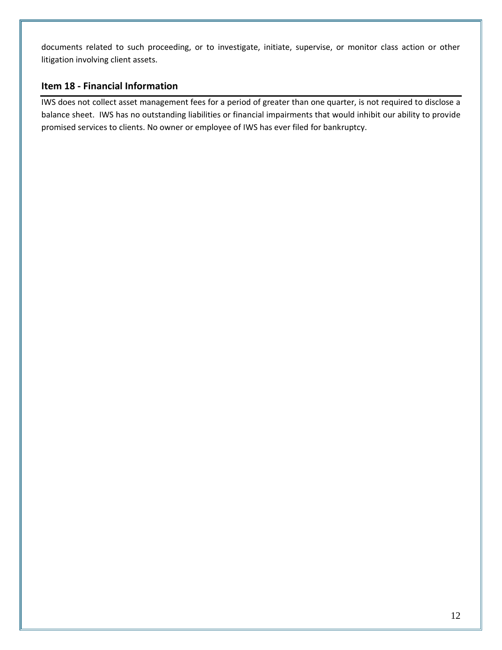documents related to such proceeding, or to investigate, initiate, supervise, or monitor class action or other litigation involving client assets.

# **Item 18 - Financial Information**

IWS does not collect asset management fees for a period of greater than one quarter, is not required to disclose a balance sheet. IWS has no outstanding liabilities or financial impairments that would inhibit our ability to provide promised services to clients. No owner or employee of IWS has ever filed for bankruptcy.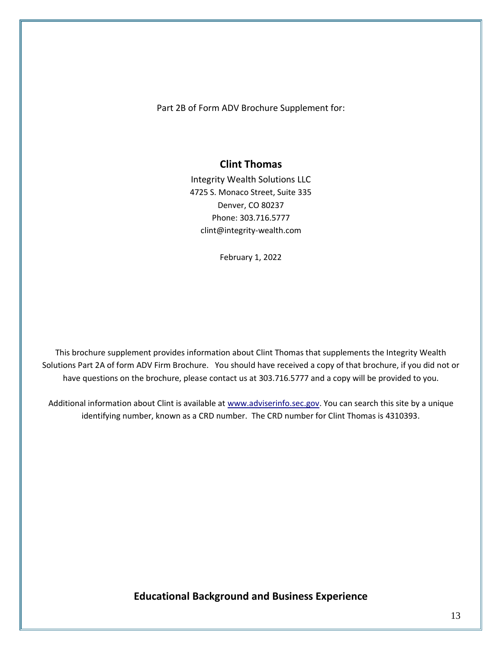Part 2B of Form ADV Brochure Supplement for:

### **Clint Thomas**

Integrity Wealth Solutions LLC 4725 S. Monaco Street, Suite 335 Denver, CO 80237 Phone: 303.716.5777 clint@integrity-wealth.com

February 1, 2022

This brochure supplement provides information about Clint Thomas that supplements the Integrity Wealth Solutions Part 2A of form ADV Firm Brochure. You should have received a copy of that brochure, if you did not or have questions on the brochure, please contact us at 303.716.5777 and a copy will be provided to you.

Additional information about Clint is available at [www.adviserinfo.sec.gov.](http://www.adviserinfo.sec.gov/) You can search this site by a unique identifying number, known as a CRD number. The CRD number for Clint Thomas is 4310393.

**Educational Background and Business Experience**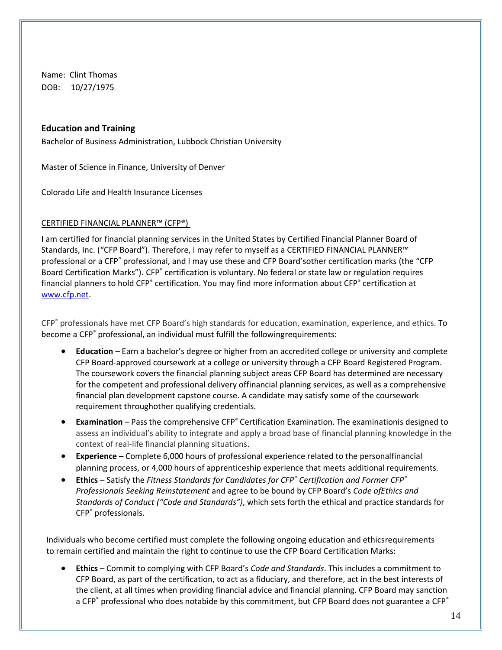Name: Clint Thomas DOB: 10/27/1975

### **Education and Training**

Bachelor of Business Administration, Lubbock Christian University

Master of Science in Finance, University of Denver

Colorado Life and Health Insurance Licenses

### CERTIFIED FINANCIAL PLANNER™ (CFP®)

I am certified for financial planning services in the United States by Certified Financial Planner Board of Standards, Inc. ("CFP Board"). Therefore, I may refer to myself as a CERTIFIED FINANCIAL PLANNER™ professional or a CFP® professional, and I may use these and CFP Board'sother certification marks (the "CFP Board Certification Marks"). CFP<sup>®</sup> certification is voluntary. No federal or state law or regulation requires financial planners to hold CFP<sup>®</sup> certification. You may find more information about CFP<sup>®</sup> certification at [www.cfp.net.](http://www.cfp.net/)

CFP® professionals have met CFP Board's high standards for education, examination, experience, and ethics. To become a CFP<sup>®</sup> professional, an individual must fulfill the followingrequirements:

- **Education**  Earn a bachelor's degree or higher from an accredited college or university and complete CFP Board-approved coursework at a college or university through a CFP Board Registered Program. The coursework covers the financial planning subject areas CFP Board has determined are necessary for the competent and professional delivery offinancial planning services, as well as a comprehensive financial plan development capstone course. A candidate may satisfy some of the coursework requirement throughother qualifying credentials.
- **Examination** Pass the comprehensive CFP<sup>®</sup> Certification Examination. The examinationis designed to assess an individual's ability to integrate and apply a broad base of financial planning knowledge in the context of real-life financial planning situations.
- **Experience**  Complete 6,000 hours of professional experience related to the personalfinancial planning process, or 4,000 hours of apprenticeship experience that meets additional requirements.
- **Ethics**  Satisfy the *Fitness Standards for Candidates for CFP® Certification and Former CFP® Professionals Seeking Reinstatement* and agree to be bound by CFP Board's *Code ofEthics and Standards of Conduct ("Code and Standards")*, which sets forth the ethical and practice standards for CFP® professionals.

Individuals who become certified must complete the following ongoing education and ethicsrequirements to remain certified and maintain the right to continue to use the CFP Board Certification Marks:

• **Ethics** – Commit to complying with CFP Board's *Code and Standards*. This includes a commitment to CFP Board, as part of the certification, to act as a fiduciary, and therefore, act in the best interests of the client, at all times when providing financial advice and financial planning. CFP Board may sanction a CFP® professional who does notabide by this commitment, but CFP Board does not guarantee a CFP®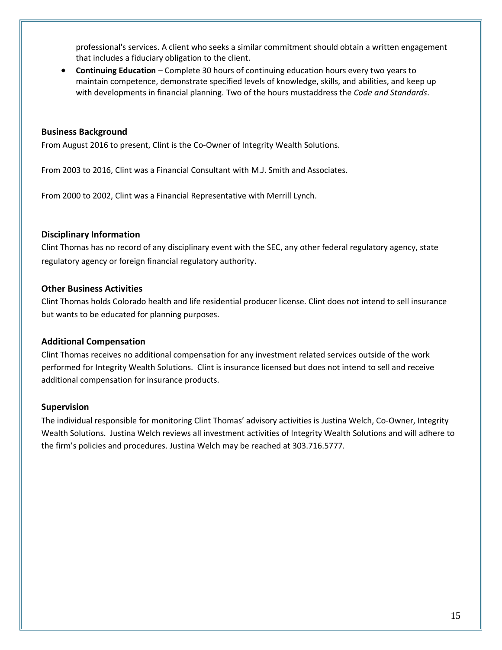professional's services. A client who seeks a similar commitment should obtain a written engagement that includes a fiduciary obligation to the client.

• **Continuing Education** – Complete 30 hours of continuing education hours every two years to maintain competence, demonstrate specified levels of knowledge, skills, and abilities, and keep up with developments in financial planning. Two of the hours mustaddress the *Code and Standards*.

#### **Business Background**

From August 2016 to present, Clint is the Co-Owner of Integrity Wealth Solutions.

From 2003 to 2016, Clint was a Financial Consultant with M.J. Smith and Associates.

From 2000 to 2002, Clint was a Financial Representative with Merrill Lynch.

### **Disciplinary Information**

Clint Thomas has no record of any disciplinary event with the SEC, any other federal regulatory agency, state regulatory agency or foreign financial regulatory authority.

### **Other Business Activities**

Clint Thomas holds Colorado health and life residential producer license. Clint does not intend to sell insurance but wants to be educated for planning purposes.

#### **Additional Compensation**

Clint Thomas receives no additional compensation for any investment related services outside of the work performed for Integrity Wealth Solutions. Clint is insurance licensed but does not intend to sell and receive additional compensation for insurance products.

#### **Supervision**

The individual responsible for monitoring Clint Thomas' advisory activities is Justina Welch, Co-Owner, Integrity Wealth Solutions. Justina Welch reviews all investment activities of Integrity Wealth Solutions and will adhere to the firm's policies and procedures. Justina Welch may be reached at 303.716.5777.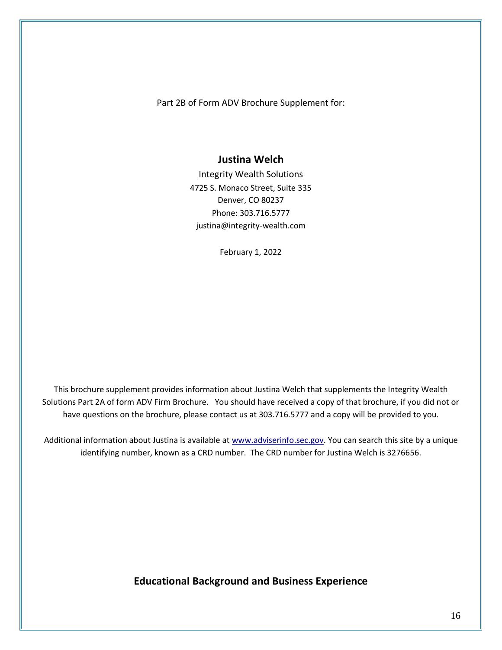Part 2B of Form ADV Brochure Supplement for:

### **Justina Welch**

Integrity Wealth Solutions 4725 S. Monaco Street, Suite 335 Denver, CO 80237 Phone: 303.716.5777 justina@integrity-wealth.com

February 1, 2022

This brochure supplement provides information about Justina Welch that supplements the Integrity Wealth Solutions Part 2A of form ADV Firm Brochure. You should have received a copy of that brochure, if you did not or have questions on the brochure, please contact us at 303.716.5777 and a copy will be provided to you.

Additional information about Justina is available a[t www.adviserinfo.sec.gov.](http://www.adviserinfo.sec.gov/) You can search this site by a unique identifying number, known as a CRD number. The CRD number for Justina Welch is 3276656.

**Educational Background and Business Experience**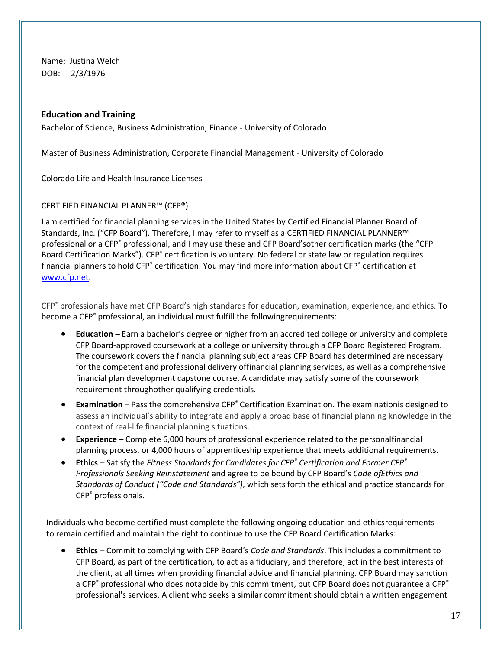Name: Justina Welch DOB: 2/3/1976

### **Education and Training**

Bachelor of Science, Business Administration, Finance - University of Colorado

Master of Business Administration, Corporate Financial Management - University of Colorado

Colorado Life and Health Insurance Licenses

### CERTIFIED FINANCIAL PLANNER™ (CFP®)

I am certified for financial planning services in the United States by Certified Financial Planner Board of Standards, Inc. ("CFP Board"). Therefore, I may refer to myself as a CERTIFIED FINANCIAL PLANNER™ professional or a CFP® professional, and I may use these and CFP Board'sother certification marks (the "CFP Board Certification Marks"). CFP<sup>®</sup> certification is voluntary. No federal or state law or regulation requires financial planners to hold CFP<sup>®</sup> certification. You may find more information about CFP<sup>®</sup> certification at [www.cfp.net.](http://www.cfp.net/)

CFP® professionals have met CFP Board's high standards for education, examination, experience, and ethics. To become a CFP® professional, an individual must fulfill the followingrequirements:

- **Education**  Earn a bachelor's degree or higher from an accredited college or university and complete CFP Board-approved coursework at a college or university through a CFP Board Registered Program. The coursework covers the financial planning subject areas CFP Board has determined are necessary for the competent and professional delivery offinancial planning services, as well as a comprehensive financial plan development capstone course. A candidate may satisfy some of the coursework requirement throughother qualifying credentials.
- **Examination** Pass the comprehensive CFP<sup>®</sup> Certification Examination. The examinationis designed to assess an individual's ability to integrate and apply a broad base of financial planning knowledge in the context of real-life financial planning situations.
- **Experience**  Complete 6,000 hours of professional experience related to the personalfinancial planning process, or 4,000 hours of apprenticeship experience that meets additional requirements.
- **Ethics**  Satisfy the *Fitness Standards for Candidates for CFP® Certification and Former CFP® Professionals Seeking Reinstatement* and agree to be bound by CFP Board's *Code ofEthics and Standards of Conduct ("Code and Standards")*, which sets forth the ethical and practice standards for CFP® professionals.

Individuals who become certified must complete the following ongoing education and ethicsrequirements to remain certified and maintain the right to continue to use the CFP Board Certification Marks:

• **Ethics** – Commit to complying with CFP Board's *Code and Standards*. This includes a commitment to CFP Board, as part of the certification, to act as a fiduciary, and therefore, act in the best interests of the client, at all times when providing financial advice and financial planning. CFP Board may sanction a CFP® professional who does notabide by this commitment, but CFP Board does not guarantee a CFP® professional's services. A client who seeks a similar commitment should obtain a written engagement